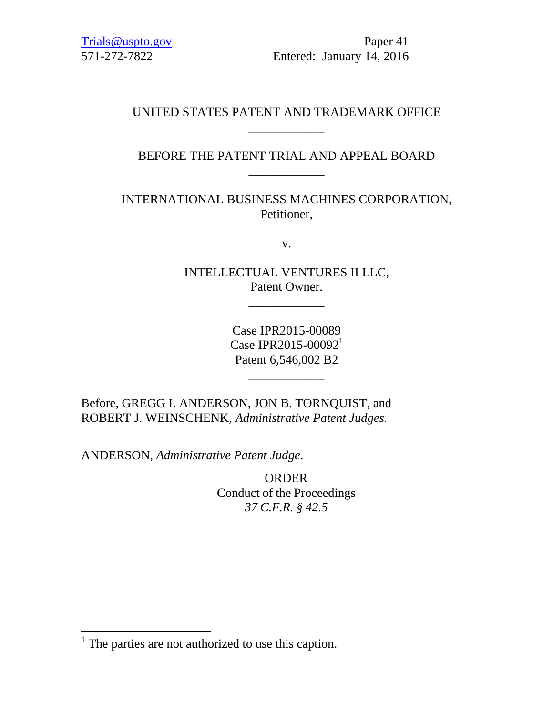[Trials@uspto.gov](mailto:Trials@uspto.gov) Paper 41 571-272-7822 Entered: January 14, 2016

## UNITED STATES PATENT AND TRADEMARK OFFICE \_\_\_\_\_\_\_\_\_\_\_\_

# BEFORE THE PATENT TRIAL AND APPEAL BOARD \_\_\_\_\_\_\_\_\_\_\_\_

INTERNATIONAL BUSINESS MACHINES CORPORATION, Petitioner,

v.

INTELLECTUAL VENTURES II LLC, Patent Owner.

\_\_\_\_\_\_\_\_\_\_\_\_

Case IPR2015-00089 Case IPR2015-00092<sup>1</sup> Patent 6,546,002 B2

\_\_\_\_\_\_\_\_\_\_\_\_

Before, GREGG I. ANDERSON, JON B. TORNQUIST, and ROBERT J. WEINSCHENK, *Administrative Patent Judges.*

ANDERSON, *Administrative Patent Judge*.

ORDER Conduct of the Proceedings *37 C.F.R. § 42.5*

 $\overline{a}$ 

 $<sup>1</sup>$  The parties are not authorized to use this caption.</sup>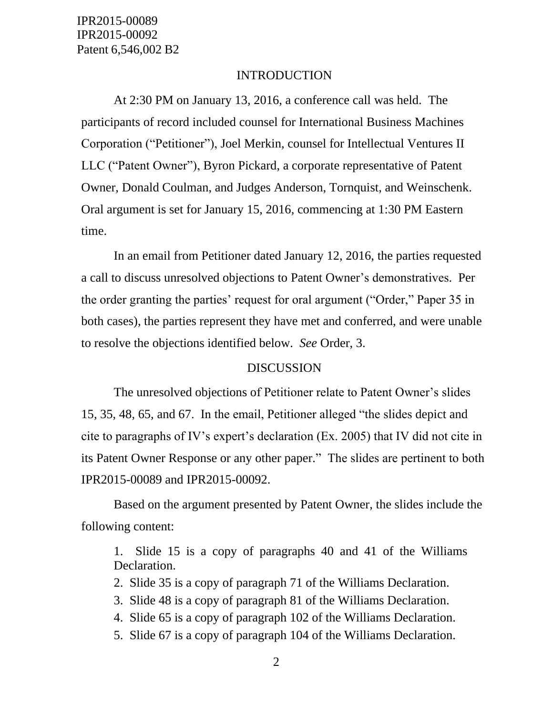IPR2015-00089 IPR2015-00092 Patent 6,546,002 B2

#### INTRODUCTION

At 2:30 PM on January 13, 2016, a conference call was held. The participants of record included counsel for International Business Machines Corporation ("Petitioner"), Joel Merkin, counsel for Intellectual Ventures II LLC ("Patent Owner"), Byron Pickard, a corporate representative of Patent Owner, Donald Coulman, and Judges Anderson, Tornquist, and Weinschenk. Oral argument is set for January 15, 2016, commencing at 1:30 PM Eastern time.

In an email from Petitioner dated January 12, 2016, the parties requested a call to discuss unresolved objections to Patent Owner's demonstratives. Per the order granting the parties' request for oral argument ("Order," Paper 35 in both cases), the parties represent they have met and conferred, and were unable to resolve the objections identified below. *See* Order, 3.

## DISCUSSION

The unresolved objections of Petitioner relate to Patent Owner's slides 15, 35, 48, 65, and 67. In the email, Petitioner alleged "the slides depict and cite to paragraphs of IV's expert's declaration (Ex. 2005) that IV did not cite in its Patent Owner Response or any other paper." The slides are pertinent to both IPR2015-00089 and IPR2015-00092.

Based on the argument presented by Patent Owner, the slides include the following content:

1. Slide 15 is a copy of paragraphs 40 and 41 of the Williams Declaration.

2. Slide 35 is a copy of paragraph 71 of the Williams Declaration.

3. Slide 48 is a copy of paragraph 81 of the Williams Declaration.

4. Slide 65 is a copy of paragraph 102 of the Williams Declaration.

5. Slide 67 is a copy of paragraph 104 of the Williams Declaration.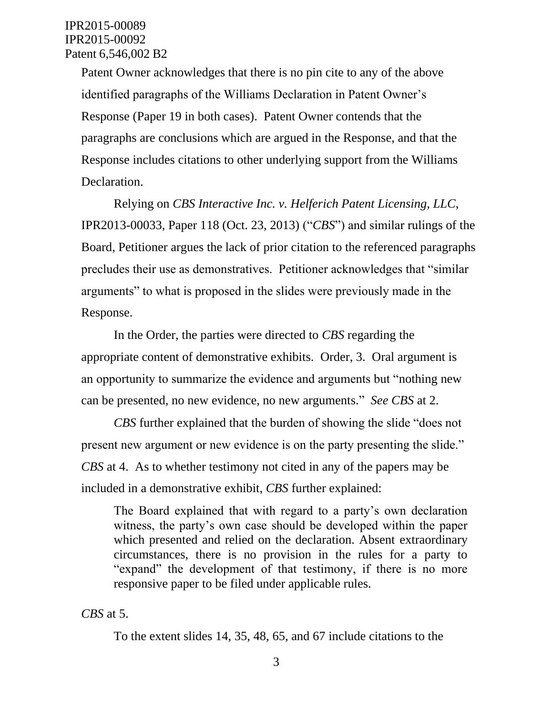Patent Owner acknowledges that there is no pin cite to any of the above identified paragraphs of the Williams Declaration in Patent Owner's Response (Paper 19 in both cases). Patent Owner contends that the paragraphs are conclusions which are argued in the Response, and that the Response includes citations to other underlying support from the Williams Declaration.

Relying on *CBS Interactive Inc. v. Helferich Patent Licensing, LLC*, IPR2013-00033, Paper 118 (Oct. 23, 2013) ("*CBS*") and similar rulings of the Board, Petitioner argues the lack of prior citation to the referenced paragraphs precludes their use as demonstratives. Petitioner acknowledges that "similar arguments" to what is proposed in the slides were previously made in the Response.

In the Order, the parties were directed to *CBS* regarding the appropriate content of demonstrative exhibits. Order, 3. Oral argument is an opportunity to summarize the evidence and arguments but "nothing new can be presented, no new evidence, no new arguments." *See CBS* at 2.

*CBS* further explained that the burden of showing the slide "does not present new argument or new evidence is on the party presenting the slide." *CBS* at 4. As to whether testimony not cited in any of the papers may be included in a demonstrative exhibit, *CBS* further explained:

The Board explained that with regard to a party's own declaration witness, the party's own case should be developed within the paper which presented and relied on the declaration. Absent extraordinary circumstances, there is no provision in the rules for a party to "expand" the development of that testimony, if there is no more responsive paper to be filed under applicable rules.

*CBS* at 5.

To the extent slides 14, 35, 48, 65, and 67 include citations to the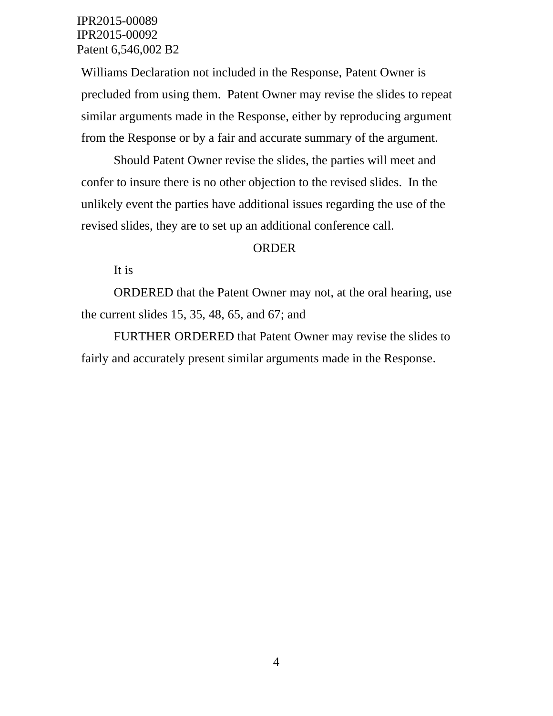## IPR2015-00089 IPR2015-00092 Patent 6,546,002 B2

Williams Declaration not included in the Response, Patent Owner is precluded from using them. Patent Owner may revise the slides to repeat similar arguments made in the Response, either by reproducing argument from the Response or by a fair and accurate summary of the argument.

Should Patent Owner revise the slides, the parties will meet and confer to insure there is no other objection to the revised slides. In the unlikely event the parties have additional issues regarding the use of the revised slides, they are to set up an additional conference call.

## ORDER

It is

ORDERED that the Patent Owner may not, at the oral hearing, use the current slides 15, 35, 48, 65, and 67; and

FURTHER ORDERED that Patent Owner may revise the slides to fairly and accurately present similar arguments made in the Response.